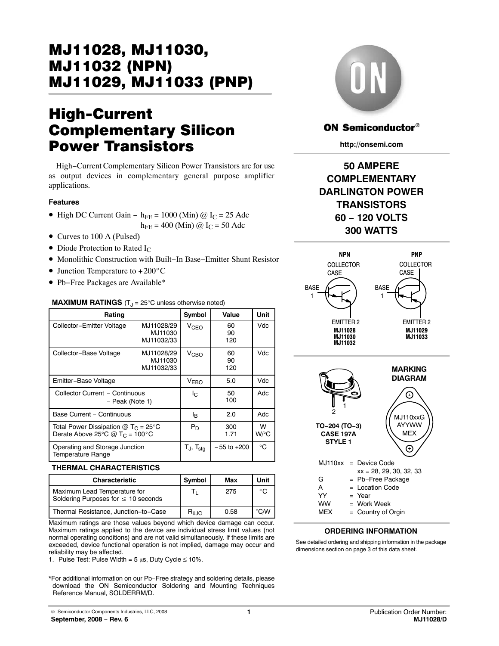# MJ11028, MJ11030, MJ11029, MJ11033 (PNP) <u>Mandale State (1980), Mandale State (1991), Mandale State (1991), Mandale State (1991), Mandale State (1991), </u>

# **High-Current<br>Complementary Silicon Power Transistors**

High−Current Complementary Silicon Power Transistors are for use as output devices in complementary general purpose amplifier applications.

## **Features**

- High DC Current Gain h<sub>FE</sub> = 1000 (Min) @ I<sub>C</sub> = 25 Adc
- $h_{\text{FE}} = 400$  (Min) @  $I_C = 50$  Adc
- Curves to 100 A (Pulsed)
- Diode Protection to Rated  $I_{\text{C}}$
- Monolithic Construction with Built−In Base−Emitter Shunt Resistor • Monolithic Construction with Bu<br>• Junction Temperature to +200°C
- 
- Pb−Free Packages are Available\*

## **MAXIMUM RATINGS** (T<sub>J</sub> = 25°C unless otherwise noted)

| Rating                                                                            |                                     | Symbol                            | Value           | Unit      |
|-----------------------------------------------------------------------------------|-------------------------------------|-----------------------------------|-----------------|-----------|
| Collector-Emitter Voltage                                                         | MJ11028/29<br>MJ11030<br>MJ11032/33 | <b>V<sub>CEO</sub></b>            | 60<br>90<br>120 | Vdc       |
| Collector-Base Voltage                                                            | MJ11028/29<br>MJ11030<br>MJ11032/33 | V <sub>CBO</sub>                  | 60<br>90<br>120 | Vdc       |
| Emitter-Base Voltage                                                              |                                     | <b>VEBO</b>                       | 5.0             | Vdc       |
| Collector Current - Continuous<br>- Peak (Note 1)                                 |                                     | Ιc                                | 50<br>100       | Adc       |
| Base Current - Continuous                                                         |                                     | ΙB                                | 2.0             | Adc       |
| Total Power Dissipation $@T_C = 25^\circ C$<br>Derate Above 25°C @ $T_C = 100$ °C |                                     | $P_D$                             | 300<br>1.71     | W<br>W/°C |
| Operating and Storage Junction<br><b>Temperature Range</b>                        |                                     | $T_{\text{J}}$ , $T_{\text{sta}}$ | $-55$ to $+200$ | ℃         |

### **THERMAL CHARACTERISTICS**

| Characteristic                                                           | Symbol                 | Max  | Unit                | $=$ Pb-Free Package                                             |
|--------------------------------------------------------------------------|------------------------|------|---------------------|-----------------------------------------------------------------|
| Maximum Lead Temperature for<br>Soldering Purposes for $\leq 10$ seconds |                        | 275  | $\circ$ $\sim$<br>◡ | Location Code<br>w<br>Year<br>$=$<br><b>WW</b><br>$=$ Work Week |
| Thermal Resistance, Junction-to-Case                                     | $R_{\theta \text{JC}}$ | 0.58 | ℃⁄W                 | <b>MEX</b><br>= Country of Orgin                                |

Maximum ratings are those values beyond which device damage can occur. Maximum ratings applied to the device are individual stress limit values (not normal operating conditions) and are not valid simultaneously. If these limits are exceeded, device functional operation is not implied, damage may occur and reliability may be affected.

1. Pulse Test: Pulse Width =  $5 \mu s$ , Duty Cycle  $\leq 10\%$ .

\*For additional information on our Pb−Free strategy and soldering details, please download the ON Semiconductor Soldering and Mounting Techniques Reference Manual, SOLDERRM/D.



## **ON Semiconductor®**

**http://onsemi.com**

## **50 AMPERE COMPLEMENTARY DARLINGTON POWER TRANSISTORS 60 − 120 VOLTS 300 WATTS**



## **ORDERING INFORMATION**

See detailed ordering and shipping information in the package dimensions section on page [3 of this data sheet.](#page-2-0)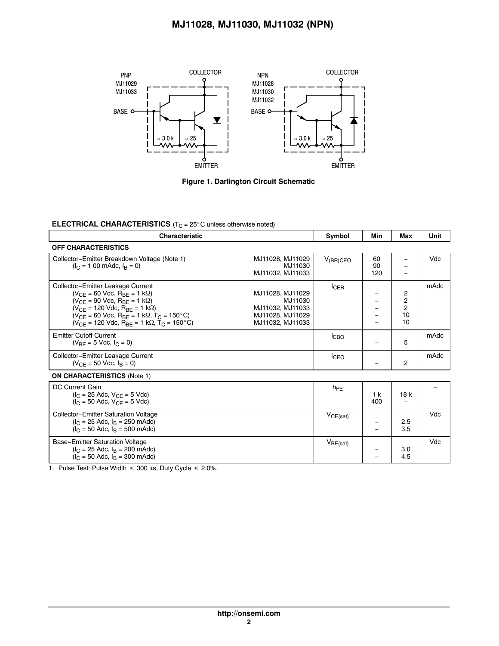## **MJ11028, MJ11030, MJ11032 (NPN)**



**Figure 1. Darlington Circuit Schematic**

## **ELECTRICAL CHARACTERISTICS** (T<sub>C</sub> = 25°C unless otherwise noted)

| <b>Characteristic</b>                                                                                                                                                                                                                                                                                                                                 |                                                                                         | Symbol        | Min                   | Max                                  | Unit |
|-------------------------------------------------------------------------------------------------------------------------------------------------------------------------------------------------------------------------------------------------------------------------------------------------------------------------------------------------------|-----------------------------------------------------------------------------------------|---------------|-----------------------|--------------------------------------|------|
| <b>OFF CHARACTERISTICS</b>                                                                                                                                                                                                                                                                                                                            |                                                                                         |               |                       |                                      |      |
| Collector-Emitter Breakdown Voltage (Note 1)<br>$(I_C = 100 \text{ m}$ Adc, $I_R = 0$ )                                                                                                                                                                                                                                                               | MJ11028, MJ11029<br>MJ11030<br>MJ11032, MJ11033                                         | $V_{(BR)CEO}$ | 60<br>90<br>120       |                                      | Vdc  |
| Collector-Emitter Leakage Current<br>$(V_{CF} = 60$ Vdc, $R_{BF} = 1$ k $\Omega$ )<br>$(V_{CF} = 90$ Vdc, $R_{BF} = 1$ k $\Omega$ )<br>$(V_{CF} = 120$ Vdc, $R_{RF} = 1$ k $\Omega$ )<br>$(V_{CF} = 60$ Vdc, $R_{BF} = 1$ k $\Omega$ , $T_C = 150^{\circ}$ C)<br>$N_{\text{CE}}$ = 120 Vdc, R <sub>BE</sub> = 1 k $\Omega$ , T <sub>C</sub> = 150 °C) | MJ11028, MJ11029<br>MJ11030<br>MJ11032, MJ11033<br>MJ11028, MJ11029<br>MJ11032, MJ11033 | ICER          |                       | 2<br>2<br>$\overline{c}$<br>10<br>10 | mAdc |
| <b>Emitter Cutoff Current</b><br>$(V_{BF} = 5$ Vdc, $I_C = 0$ )                                                                                                                                                                                                                                                                                       |                                                                                         | <b>LEBO</b>   |                       | 5                                    | mAdc |
| Collector-Emitter Leakage Current<br>$(V_{CE} = 50$ Vdc, $I_R = 0$ )                                                                                                                                                                                                                                                                                  |                                                                                         | <b>I</b> CEO  |                       | 2                                    | mAdc |
| <b>ON CHARACTERISTICS (Note 1)</b>                                                                                                                                                                                                                                                                                                                    |                                                                                         |               |                       |                                      |      |
| DC Current Gain<br>$(I_C = 25$ Adc, $V_{CF} = 5$ Vdc)<br>$I_{\rm C}$ = 50 Adc, $V_{\rm CF}$ = 5 Vdc)                                                                                                                                                                                                                                                  |                                                                                         | $h_{FE}$      | 1 <sub>k</sub><br>400 | 18k                                  |      |
| <b>Collector-Emitter Saturation Voltage</b><br>$I_C = 25$ Adc, $I_R = 250$ mAdc)<br>$(I_C = 50$ Adc, $I_R = 500$ mAdc)                                                                                                                                                                                                                                |                                                                                         | $V_{CE(sat)}$ |                       | 2.5<br>3.5                           | Vdc  |
| Base-Emitter Saturation Voltage<br>$(I_C = 25$ Adc, $I_R = 200$ mAdc)<br>$(I_C = 50$ Adc, $I_R = 300$ mAdc)                                                                                                                                                                                                                                           |                                                                                         | $V_{BE(sat)}$ |                       | 3.0<br>4.5                           | Vdc  |

1. Pulse Test: Pulse Width  $\leq 300$  µs, Duty Cycle  $\leq 2.0\%$ .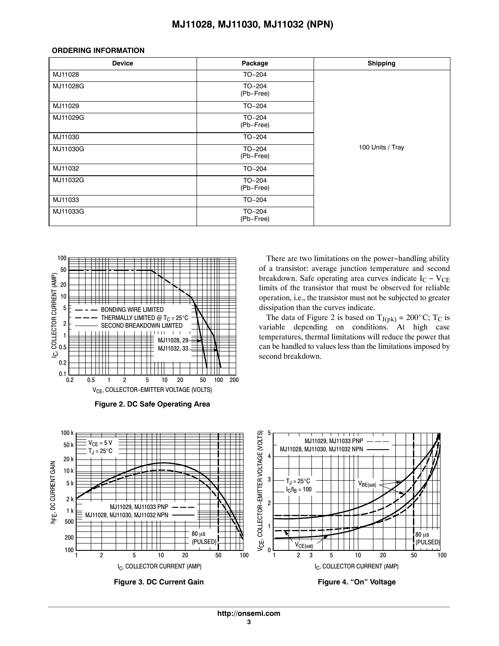## **MJ11028, MJ11030, MJ11032 (NPN)**

### <span id="page-2-0"></span>**ORDERING INFORMATION**

| <b>Device</b> | Package               | <b>Shipping</b>  |
|---------------|-----------------------|------------------|
| MJ11028       | TO-204                |                  |
| MJ11028G      | TO-204<br>(Pb-Free)   |                  |
| MJ11029       | TO-204                |                  |
| MJ11029G      | TO-204<br>(Pb-Free)   |                  |
| MJ11030       | TO-204                |                  |
| MJ11030G      | TO-204<br>(Pb-Free)   | 100 Units / Tray |
| MJ11032       | TO-204                |                  |
| MJ11032G      | $TO-204$<br>(Pb-Free) |                  |
| MJ11033       | TO-204                |                  |
| MJ11033G      | $TO-204$<br>(Pb-Free) |                  |





There are two limitations on the power−handling ability of a transistor: average junction temperature and second breakdown. Safe operating area curves indicate  $I_C - V_{CE}$ limits of the transistor that must be observed for reliable operation, i.e., the transistor must not be subjected to greater dissipation than the curves indicate. Example 1, and the data of Figure 2 is based on  $T_{J(pk)} = 200^{\circ}$ C; T<sub>C</sub> is

variable depending on conditions. At high case temperatures, thermal limitations will reduce the power that can be handled to values less than the limitations imposed by second breakdown.